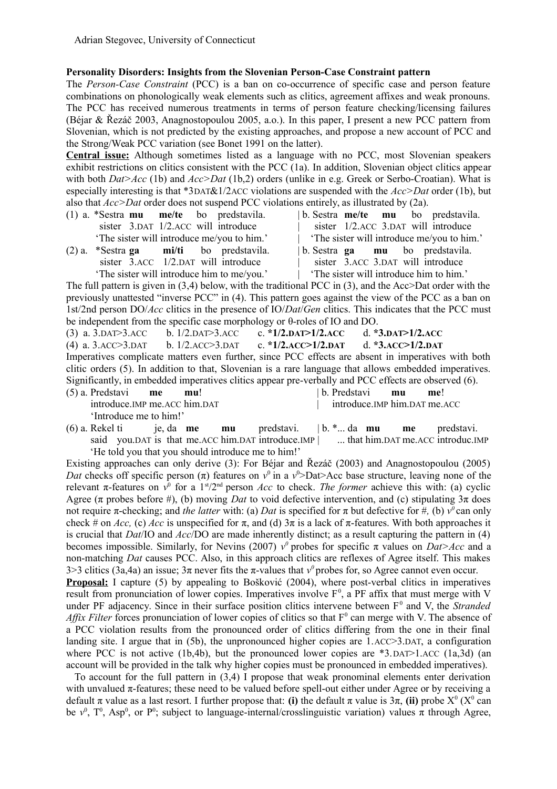## **Personality Disorders: Insights from the Slovenian Person-Case Constraint pattern**

The *Person-Case Constraint* (PCC) is a ban on co-occurrence of specific case and person feature combinations on phonologically weak elements such as clitics, agreement affixes and weak pronouns. The PCC has received numerous treatments in terms of person feature checking/licensing failures (Béjar & Řezáč 2003, Anagnostopoulou 2005, a.o.). In this paper, I present a new PCC pattern from Slovenian, which is not predicted by the existing approaches, and propose a new account of PCC and the Strong/Weak PCC variation (see Bonet 1991 on the latter).

**Central issue:** Although sometimes listed as a language with no PCC, most Slovenian speakers exhibit restrictions on clitics consistent with the PCC (1a). In addition, Slovenian object clitics appear with both *Dat>Acc* (1b) and *Acc>Dat* (1b,2) orders (unlike in e.g. Greek or Serbo-Croatian). What is especially interesting is that \*3DAT&1/2ACC violations are suspended with the *Acc>Dat* order (1b), but also that *Acc>Dat* order does not suspend PCC violations entirely, as illustrated by (2a).

- (1) a. \*Sestra **mu me/te** bo predstavila. | b. Sestra **me/te mu** bo predstavila. sister 3.DAT 1/2.ACC will introduce | sister 1/2.ACC 3.DAT will introduce 'The sister will introduce me/you to him.' | 'The sister will introduce me/you to him.'
- sister  $\overline{3}$ . ACC 1/2. DAT will introduce | sister  $\overline{3}$ . ACC 3. DAT will introduce 'The sister will introduce him to me/you.' | 'The sister will introduce him to him.'
- (2) a. \*Sestra **ga mi/ti** bo predstavila. | b. Sestra **ga mu** bo predstavila.
	-

The full pattern is given in (3,4) below, with the traditional PCC in (3), and the Acc>Dat order with the previously unattested "inverse PCC" in (4). This pattern goes against the view of the PCC as a ban on 1st/2nd person DO/*Acc* clitics in the presence of IO/*Dat*/*Gen* clitics. This indicates that the PCC must be independent from the specific case morphology or θ-roles of IO and DO.

(3) a. 3.DAT>3.ACC b. 1/2.DAT>3.ACC c. **\*1/2.DAT>1/2.ACC** d. **\*3.DAT>1/2.ACC** (4) a. 3.ACC>3.DAT b. 1/2.ACC>3.DAT c. **\*1/2.ACC>1/2.DAT** d. **\*3.ACC>1/2.DAT** Imperatives complicate matters even further, since PCC effects are absent in imperatives with both clitic orders (5). In addition to that, Slovenian is a rare language that allows embedded imperatives. Significantly, in embedded imperatives clitics appear pre-verbally and PCC effects are observed (6). (5) a. Predstavi **me mu**! | b. Predstavi **mu me**!

introduce.IMP me.ACC him.DAT | introduce.IMP him.DAT me.ACC 'Introduce me to him!'

- (6) a. Rekel ti je, da **me mu** predstavi. | b. \*... da **mu me** predstavi.
- said vou.DAT is that me.ACC him.DAT introduce.IMP | ... that him.DAT me.ACC introduc.IMP 'He told you that you should introduce me to him!'

Existing approaches can only derive (3): For Béjar and Řezáč (2003) and Anagnostopoulou (2005) *Dat* checks off specific person  $(\pi)$  features on  $v^0$  in a  $v^0$ >Dat>Acc base structure, leaving none of the relevant π-features on  $v^0$  for a 1<sup>st</sup>/2<sup>nd</sup> person *Acc* to check. *The former* achieve this with: (a) cyclic Agree ( $\pi$  probes before #), (b) moving *Dat* to void defective intervention, and (c) stipulating  $3\pi$  does not require π-checking; and *the latter* with: (a) *Dat* is specified for π but defective for #, (b)  $v^0$  can only check # on *Acc*, (c) *Acc* is unspecified for  $\pi$ , and (d)  $3\pi$  is a lack of  $\pi$ -features. With both approaches it is crucial that *Dat*/IO and *Acc*/DO are made inherently distinct; as a result capturing the pattern in (4) becomes impossible. Similarly, for Nevins (2007)  $v^0$  probes for specific  $\pi$  values on *Dat>Acc* and a non-matching *Dat* causes PCC. Also, in this approach clitics are reflexes of Agree itself. This makes 3>3 clitics (3a,4a) an issue; 3π never fits the π-values that *v0* probes for, so Agree cannot even occur.

**Proposal:** I capture (5) by appealing to Bošković (2004), where post-verbal clitics in imperatives result from pronunciation of lower copies. Imperatives involve  $F<sup>0</sup>$ , a PF affix that must merge with V under PF adjacency. Since in their surface position clitics intervene between F<sup>0</sup> and V, the *Stranded Affix Filter* forces pronunciation of lower copies of clitics so that  $F^0$  can merge with V. The absence of a PCC violation results from the pronounced order of clitics differing from the one in their final landing site. I argue that in  $(5b)$ , the unpronounced higher copies are 1.ACC $>3$ .DAT, a configuration where PCC is not active (1b,4b), but the pronounced lower copies are  $*3$ . DAT>1.ACC (1a,3d) (an account will be provided in the talk why higher copies must be pronounced in embedded imperatives).

To account for the full pattern in (3,4) I propose that weak pronominal elements enter derivation with unvalued  $\pi$ -features; these need to be valued before spell-out either under Agree or by receiving a default  $\pi$  value as a last resort. I further propose that: (i) the default  $\pi$  value is  $3\pi$ , (ii) probe  $X^0$  ( $X^0$  can be  $v^0$ ,  $T^0$ , Asp<sup>0</sup>, or P<sup>0</sup>; subject to language-internal/crosslinguistic variation) values  $\pi$  through Agree,